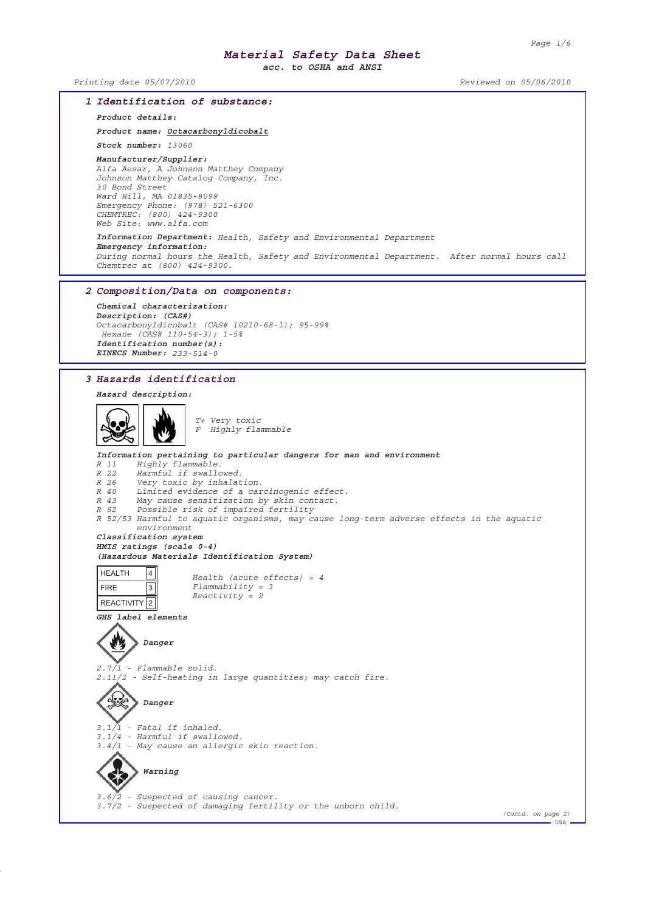*acc. to OSHA and ANSI*

*Printing date 05/07/2010 Reviewed on 05/06/2010*

### *1 Identification of substance: Product details: Product name: Octacarbonyldicobalt Stock number: 13060 Manufacturer/Supplier: Alfa Aesar, A Johnson Matthey Company Johnson Matthey Catalog Company, Inc. 30 Bond Street Ward Hill, MA 01835-8099 Emergency Phone: (978) 521-6300 CHEMTREC: (800) 424-9300 Web Site: www.alfa.com Information Department: Health, Safety and Environmental Department Emergency information: During normal hours the Health, Safety and Environmental Department. After normal hours call Chemtrec at (800) 424-9300. 2 Composition/Data on components:*

*Chemical characterization: Description: (CAS#) Octacarbonyldicobalt (CAS# 10210-68-1); 95-99% Hexane (CAS# 110-54-3); 1-5% Identification number(s): EINECS Number: 233-514-0*

### *3 Hazards identification*

## *Hazard description:*



*T+ Very toxic F Highly flammable*

### *Information pertaining to particular dangers for man and environment R 11 Highly flammable. R 22 Harmful if swallowed. R 26 Very toxic by inhalation. R 40 Limited evidence of a carcinogenic effect. R 43 May cause sensitization by skin contact. R 62 Possible risk of impaired fertility R 52/53 Harmful to aquatic organisms, may cause long-term adverse effects in the aquatic environment Classification system HMIS ratings (scale 0-4) (Hazardous Materials Identification System)* HEALTH 4 *Health (acute effects) = 4*  $\overline{3}$ *Flammability = 3* FIRE *Reactivity = 2* REACTIVITY 2 *GHS label elements* 炒 *Danger 2.7/1 - Flammable solid. 2.11/2 - Self-heating in large quantities; may catch fire. Danger 3.1/1 - Fatal if inhaled. 3.1/4 - Harmful if swallowed. 3.4/1 - May cause an allergic skin reaction. Warning* ♦ *3.6/2 - Suspected of causing cancer. 3.7/2 - Suspected of damaging fertility or the unborn child. (Contd. on page 2)* --<br>- USA -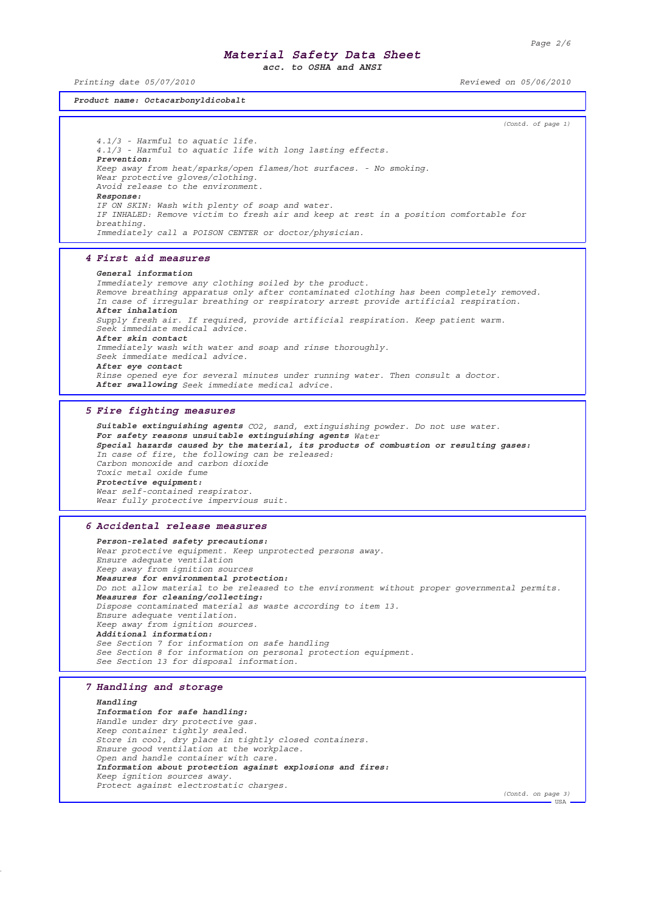*acc. to OSHA and ANSI*

*Printing date 05/07/2010 Reviewed on 05/06/2010*

*Product name: Octacarbonyldicobalt*

*(Contd. of page 1) 4.1/3 - Harmful to aquatic life. 4.1/3 - Harmful to aquatic life with long lasting effects. Prevention: Keep away from heat/sparks/open flames/hot surfaces. - No smoking. Wear protective gloves/clothing. Avoid release to the environment. Response: IF ON SKIN: Wash with plenty of soap and water. IF INHALED: Remove victim to fresh air and keep at rest in a position comfortable for breathing. Immediately call a POISON CENTER or doctor/physician. 4 First aid measures General information Immediately remove any clothing soiled by the product. Remove breathing apparatus only after contaminated clothing has been completely removed. In case of irregular breathing or respiratory arrest provide artificial respiration. After inhalation Supply fresh air. If required, provide artificial respiration. Keep patient warm. Seek immediate medical advice. After skin contact Immediately wash with water and soap and rinse thoroughly. Seek immediate medical advice. After eye contact Rinse opened eye for several minutes under running water. Then consult a doctor. After swallowing Seek immediate medical advice. 5 Fire fighting measures Suitable extinguishing agents CO2, sand, extinguishing powder. Do not use water. For safety reasons unsuitable extinguishing agents Water Special hazards caused by the material, its products of combustion or resulting gases: In case of fire, the following can be released: Carbon monoxide and carbon dioxide Toxic metal oxide fume Protective equipment: Wear self-contained respirator. Wear fully protective impervious suit. 6 Accidental release measures Person-related safety precautions: Wear protective equipment. Keep unprotected persons away. Ensure adequate ventilation Keep away from ignition sources Measures for environmental protection: Do not allow material to be released to the environment without proper governmental permits. Measures for cleaning/collecting: Dispose contaminated material as waste according to item 13. Ensure adequate ventilation. Keep away from ignition sources. Additional information: See Section 7 for information on safe handling See Section 8 for information on personal protection equipment. See Section 13 for disposal information. 7 Handling and storage Handling Information for safe handling: Handle under dry protective gas. Keep container tightly sealed. Store in cool, dry place in tightly closed containers.*

*Information about protection against explosions and fires: Keep ignition sources away. Protect against electrostatic charges.*

*Ensure good ventilation at the workplace. Open and handle container with care.*

*(Contd. on page 3)*

USA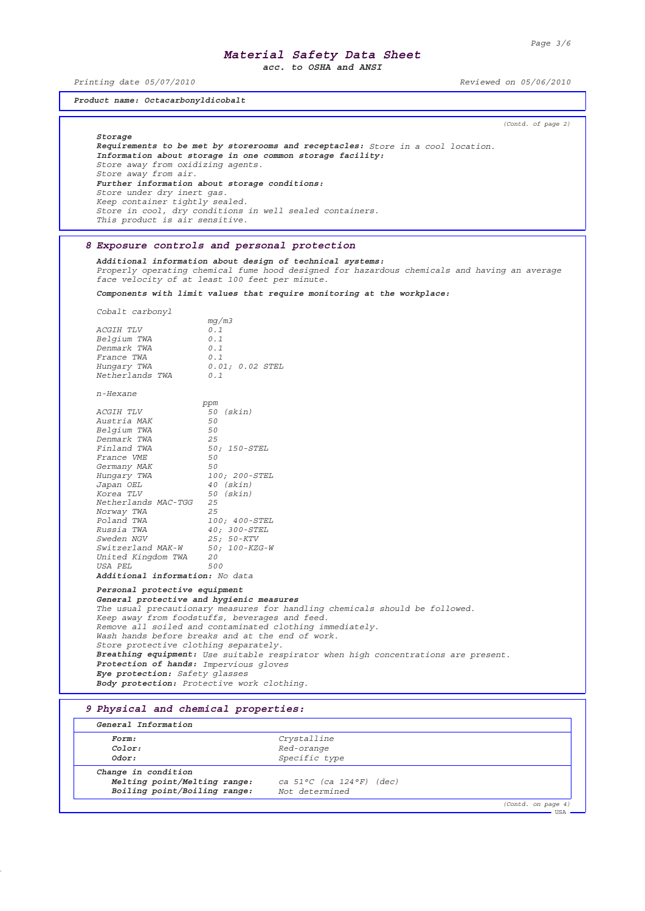$\overline{\overline{\mathsf{USA}}}$ 

## *Material Safety Data Sheet*

*acc. to OSHA and ANSI*

*Printing date 05/07/2010 Reviewed on 05/06/2010*

*Product name: Octacarbonyldicobalt*

*(Contd. of page 2)*

*Storage*

*Requirements to be met by storerooms and receptacles: Store in a cool location. Information about storage in one common storage facility: Store away from oxidizing agents. Store away from air. Further information about storage conditions: Store under dry inert gas. Keep container tightly sealed. Store in cool, dry conditions in well sealed containers. This product is air sensitive.*

### *8 Exposure controls and personal protection*

*Additional information about design of technical systems: Properly operating chemical fume hood designed for hazardous chemicals and having an average face velocity of at least 100 feet per minute.*

*Components with limit values that require monitoring at the workplace:*

*Cobalt carbonyl*

|                   | mq/m3           |
|-------------------|-----------------|
| <i>ACGIH TLV</i>  | 0.1             |
| Belgium TWA       | 0.1             |
| Denmark TWA       | 0.1             |
| <i>France TWA</i> | 0.1             |
| Hungary TWA       | 0.01; 0.02 STEL |
| Netherlands TWA   | 0.1             |
|                   |                 |

*n-Hexane*

|                                        | ppm              |
|----------------------------------------|------------------|
| <i>ACGIH TLV</i>                       | <i>50 (skin)</i> |
| Austria MAK                            | 50               |
| Belgium TWA                            | 50               |
| Denmark TWA                            | 25               |
| Finland TWA                            | 50; 150-STEL     |
| <i>France VME</i>                      | 50               |
| Germany MAK                            | 50               |
| Hungary TWA                            | 100; 200-STEL    |
| Japan OEL                              | $40$ (skin)      |
| Korea TLV                              | 50 (skin)        |
| Netherlands MAC-TGG 25                 |                  |
| Norway TWA                             | 2.5              |
| Poland TWA                             | 100; 400-STEL    |
| Russia TWA                             | 40; 300-STEL     |
| Sweden NGV                             | 25; 50-KTV       |
| Switzerland MAK-W 50; 100-KZG-W        |                  |
| United Kingdom TWA 20                  |                  |
| USA PEL                                | 500              |
| <b>Additional information:</b> No data |                  |

*Personal protective equipment General protective and hygienic measures The usual precautionary measures for handling chemicals should be followed. Keep away from foodstuffs, beverages and feed. Remove all soiled and contaminated clothing immediately. Wash hands before breaks and at the end of work. Store protective clothing separately. Breathing equipment: Use suitable respirator when high concentrations are present. Protection of hands: Impervious gloves Eye protection: Safety glasses Body protection: Protective work clothing.*

### *9 Physical and chemical properties:*

| Form:                        | Crystalline              |
|------------------------------|--------------------------|
| Color:                       | Red-orange               |
| Odor:                        | Specific type            |
| Change in condition          |                          |
| Melting point/Melting range: | ca 51°C (ca 124°F) (dec) |
| Boiling point/Boiling range: | Not determined           |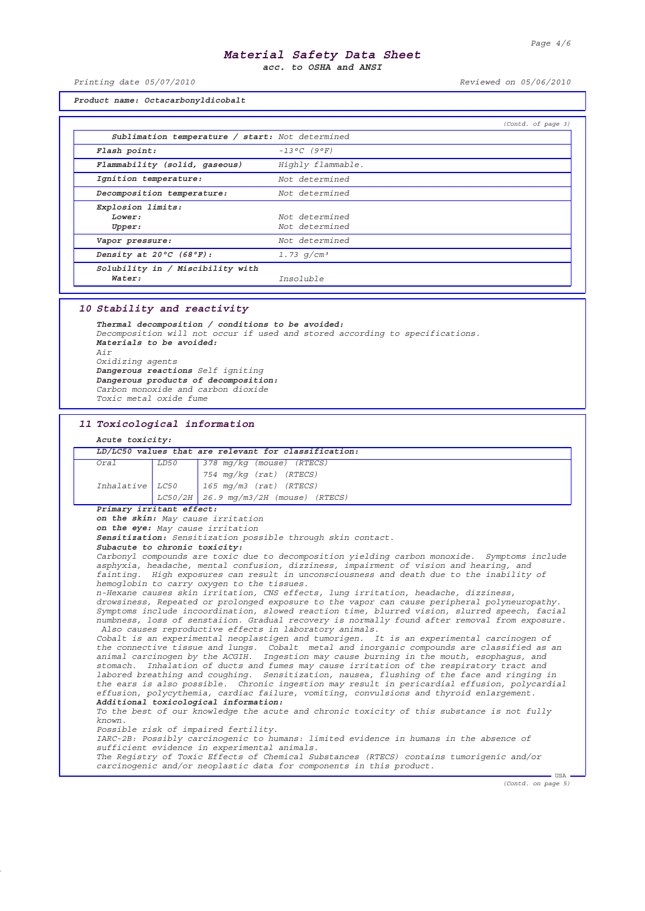*acc. to OSHA and ANSI*

*Printing date 05/07/2010 Reviewed on 05/06/2010*

*Product name: Octacarbonyldicobalt*

|                                                 |                      | (Contd. of page 3) |
|-------------------------------------------------|----------------------|--------------------|
| Sublimation temperature / start: Not determined |                      |                    |
| Flash point:                                    | $-13^{\circ}C$ (9°F) |                    |
| Flammability (solid, gaseous)                   | Highly flammable.    |                    |
| Ignition temperature:                           | Not determined       |                    |
| Decomposition temperature:                      | Not determined       |                    |
| Explosion limits:                               |                      |                    |
| Lower:                                          | Not determined       |                    |
| Upper:                                          | Not determined       |                    |
| Vapor pressure:                                 | Not determined       |                    |
| Density at $20^{\circ}C$ (68 $^{\circ}F$ ):     | 1.73 $q/cm^3$        |                    |
| Solubility in / Miscibility with                |                      |                    |
| Water:                                          | Insoluble            |                    |

### *10 Stability and reactivity*

*Thermal decomposition / conditions to be avoided: Decomposition will not occur if used and stored according to specifications. Materials to be avoided: Air Oxidizing agents Dangerous reactions Self igniting Dangerous products of decomposition: Carbon monoxide and carbon dioxide Toxic metal oxide fume*

#### *11 Toxicological information*

### *Acute toxicity:*

| LD/LC50 values that are relevant for classification: |      |                                             |  |
|------------------------------------------------------|------|---------------------------------------------|--|
| Oral                                                 | LD50 | $378 \,$ mg/kg (mouse) (RTECS)              |  |
|                                                      |      | 754 mg/kg $(rat)$ $(RTECS)$                 |  |
|                                                      |      | Inhalative $LCS0$   165 mg/m3 (rat) (RTECS) |  |
|                                                      |      | $LCSO/2H$ 26.9 mg/m3/2H (mouse) (RTECS)     |  |

#### *Primary irritant effect:*

*on the skin: May cause irritation*

*on the eye: May cause irritation*

*Sensitization: Sensitization possible through skin contact.*

#### *Subacute to chronic toxicity:*

*Carbonyl compounds are toxic due to decomposition yielding carbon monoxide. Symptoms include asphyxia, headache, mental confusion, dizziness, impairment of vision and hearing, and fainting. High exposures can result in unconsciousness and death due to the inability of hemoglobin to carry oxygen to the tissues.*

*n-Hexane causes skin irritation, CNS effects, lung irritation, headache, dizziness, drowsiness, Repeated or prolonged exposure to the vapor can cause peripheral polyneuropathy. Symptoms include incoordination, slowed reaction time, blurred vision, slurred speech, facial numbness, loss of senstaiion. Gradual recovery is normally found after removal from exposure. Also causes reproductive effects in laboratory animals.*

*Cobalt is an experimental neoplastigen and tumorigen. It is an experimental carcinogen of the connective tissue and lungs. Cobalt metal and inorganic compounds are classified as an animal carcinogen by the ACGIH. Ingestion may cause burning in the mouth, esophagus, and stomach. Inhalation of ducts and fumes may cause irritation of the respiratory tract and labored breathing and coughing. Sensitization, nausea, flushing of the face and ringing in the ears is also possible. Chronic ingestion may result in pericardial effusion, polycardial effusion, polycythemia, cardiac failure, vomiting, convulsions and thyroid enlargement. Additional toxicological information:*

*To the best of our knowledge the acute and chronic toxicity of this substance is not fully known.*

*Possible risk of impaired fertility.*

*IARC-2B: Possibly carcinogenic to humans: limited evidence in humans in the absence of sufficient evidence in experimental animals. The Registry of Toxic Effects of Chemical Substances (RTECS) contains tumorigenic and/or*

*carcinogenic and/or neoplastic data for components in this product.*

*(Contd. on page 5)*

 $-$  USA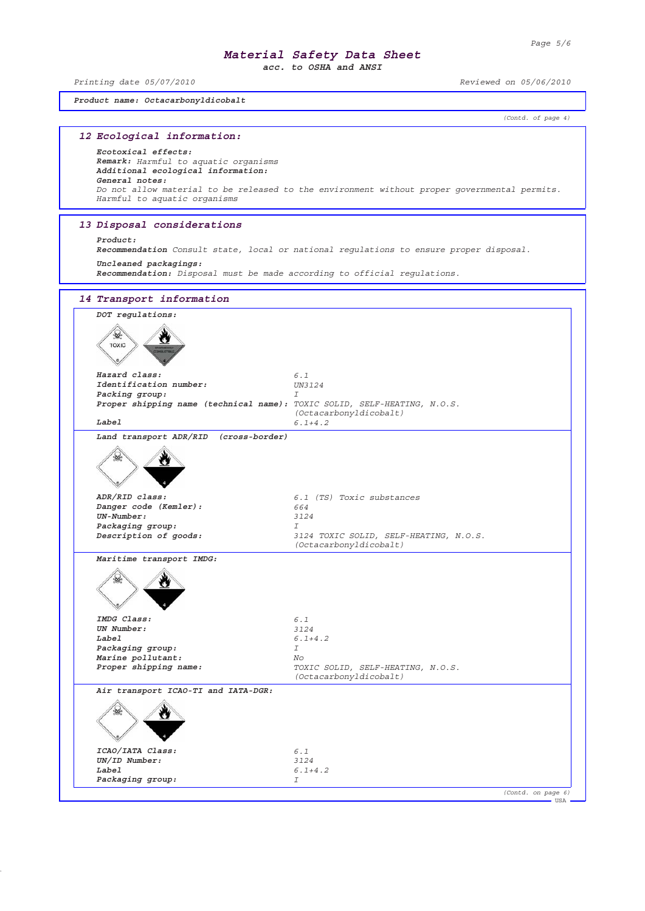*acc. to OSHA and ANSI*

*Printing date 05/07/2010 Reviewed on 05/06/2010*

*Product name: Octacarbonyldicobalt*

*(Contd. of page 4)*

| 12 Ecological information:                                                                                                                          |                                                                                              |  |  |  |
|-----------------------------------------------------------------------------------------------------------------------------------------------------|----------------------------------------------------------------------------------------------|--|--|--|
| Ecotoxical effects:<br>Remark: Harmful to aquatic organisms<br>Additional ecological information:<br>General notes:<br>Harmful to aquatic organisms | Do not allow material to be released to the environment without proper governmental permits. |  |  |  |
| 13 Disposal considerations                                                                                                                          |                                                                                              |  |  |  |
| Product:                                                                                                                                            | Recommendation Consult state, local or national regulations to ensure proper disposal.       |  |  |  |
| Uncleaned packagings:                                                                                                                               | Recommendation: Disposal must be made according to official requlations.                     |  |  |  |
| 14 Transport information                                                                                                                            |                                                                                              |  |  |  |
| DOT regulations:                                                                                                                                    |                                                                                              |  |  |  |
| TOXIC                                                                                                                                               |                                                                                              |  |  |  |
| Hazard class:<br>Identification number:                                                                                                             | 6.1<br><i>UN3124</i>                                                                         |  |  |  |
| Packing group:<br>Proper shipping name (technical name): TOXIC SOLID, SELF-HEATING, N.O.S.                                                          | T                                                                                            |  |  |  |
| Label                                                                                                                                               | (Octacarbonyldicobalt)<br>$6.1 + 4.2$                                                        |  |  |  |
| Land transport ADR/RID (cross-border)                                                                                                               |                                                                                              |  |  |  |
|                                                                                                                                                     |                                                                                              |  |  |  |
| ADR/RID class:<br>Danger code (Kemler):                                                                                                             | 6.1 (TS) Toxic substances<br>664                                                             |  |  |  |
| $UN-Number:$                                                                                                                                        | 3124                                                                                         |  |  |  |
| Packaging group:                                                                                                                                    | I                                                                                            |  |  |  |
| Description of goods:                                                                                                                               | 3124 TOXIC SOLID, SELF-HEATING, N.O.S.<br>(Octacarbonyldicobalt)                             |  |  |  |
| Maritime transport IMDG:                                                                                                                            |                                                                                              |  |  |  |
|                                                                                                                                                     |                                                                                              |  |  |  |
| IMDG Class:                                                                                                                                         | 6.1                                                                                          |  |  |  |
| UN Number:                                                                                                                                          | 3124                                                                                         |  |  |  |
| Label<br>Packaging group:                                                                                                                           | $6.1 + 4.2$<br>I                                                                             |  |  |  |
| Marine pollutant:                                                                                                                                   | No                                                                                           |  |  |  |
| Proper shipping name:                                                                                                                               | TOXIC SOLID, SELF-HEATING, N.O.S.<br>(Octacarbonyldicobalt)                                  |  |  |  |
| Air transport ICAO-TI and IATA-DGR:                                                                                                                 |                                                                                              |  |  |  |
| ICAO/IATA Class:                                                                                                                                    | 6.1                                                                                          |  |  |  |
| UN/ID Number:<br>Label                                                                                                                              | 3124<br>$6.1 + 4.2$                                                                          |  |  |  |
| Packaging group:                                                                                                                                    | I                                                                                            |  |  |  |
|                                                                                                                                                     | (Contd. on page 6)                                                                           |  |  |  |
|                                                                                                                                                     | <b>USA</b>                                                                                   |  |  |  |